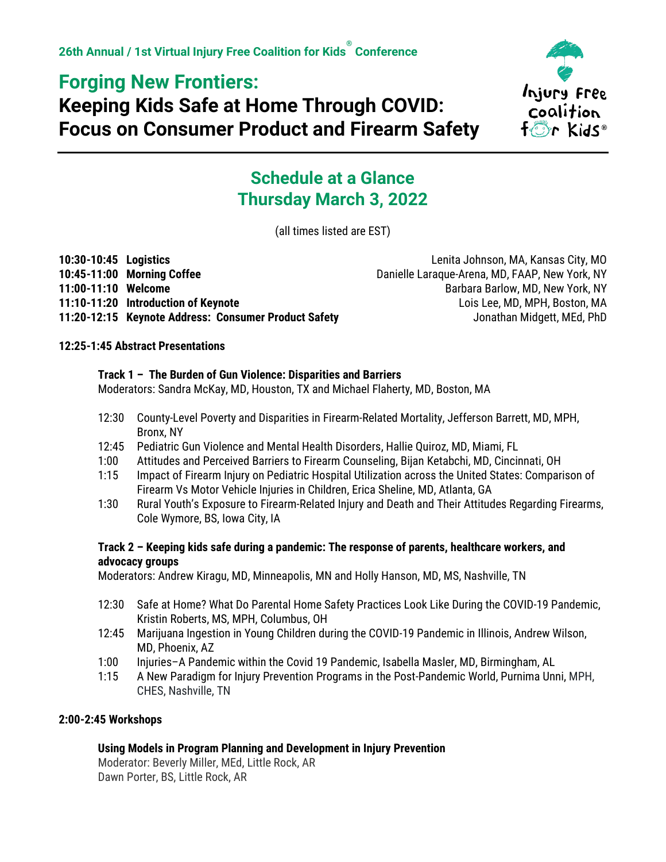## **Forging New Frontiers:**

# **Keeping Kids Safe at Home Through COVID: Focus on Consumer Product and Firearm Safety**



## **Schedule at a Glance Thursday March 3, 2022**

(all times listed are EST)

| 10:30-10:45 Logistics |                                                      | Lenita Johnson, MA, Kansas City, MO            |
|-----------------------|------------------------------------------------------|------------------------------------------------|
|                       | 10:45-11:00 Morning Coffee                           | Danielle Laraque-Arena, MD, FAAP, New York, NY |
| 11:00-11:10 Welcome   |                                                      | Barbara Barlow, MD, New York, NY               |
|                       | 11:10-11:20 Introduction of Keynote                  | Lois Lee, MD, MPH, Boston, MA                  |
|                       | 11:20-12:15 Keynote Address: Consumer Product Safety | Jonathan Midgett, MEd, PhD                     |

## **12:25-1:45 Abstract Presentations**

## **Track 1 – The Burden of Gun Violence: Disparities and Barriers**

Moderators: Sandra McKay, MD, Houston, TX and Michael Flaherty, MD, Boston, MA

- 12:30 County-Level Poverty and Disparities in Firearm-Related Mortality, Jefferson Barrett, MD, MPH, Bronx, NY
- 12:45 Pediatric Gun Violence and Mental Health Disorders, Hallie Quiroz, MD, Miami, FL
- 1:00 Attitudes and Perceived Barriers to Firearm Counseling, Bijan Ketabchi, MD, Cincinnati, OH
- 1:15 Impact of Firearm Injury on Pediatric Hospital Utilization across the United States: Comparison of Firearm Vs Motor Vehicle Injuries in Children, Erica Sheline, MD, Atlanta, GA
- 1:30 Rural Youth's Exposure to Firearm-Related Injury and Death and Their Attitudes Regarding Firearms, Cole Wymore, BS, Iowa City, IA

## **Track 2 – Keeping kids safe during a pandemic: The response of parents, healthcare workers, and advocacy groups**

Moderators: Andrew Kiragu, MD, Minneapolis, MN and Holly Hanson, MD, MS, Nashville, TN

- 12:30 Safe at Home? What Do Parental Home Safety Practices Look Like During the COVID-19 Pandemic, Kristin Roberts, MS, MPH, Columbus, OH
- 12:45 Marijuana Ingestion in Young Children during the COVID-19 Pandemic in Illinois, Andrew Wilson, MD, Phoenix, AZ
- 1:00 Injuries–A Pandemic within the Covid 19 Pandemic, Isabella Masler, MD, Birmingham, AL
- 1:15 A New Paradigm for Injury Prevention Programs in the Post-Pandemic World, Purnima Unni, MPH, CHES, Nashville, TN

## **2:00-2:45 Workshops**

## **Using Models in Program Planning and Development in Injury Prevention**

Moderator: Beverly Miller, MEd, Little Rock, AR Dawn Porter, BS, Little Rock, AR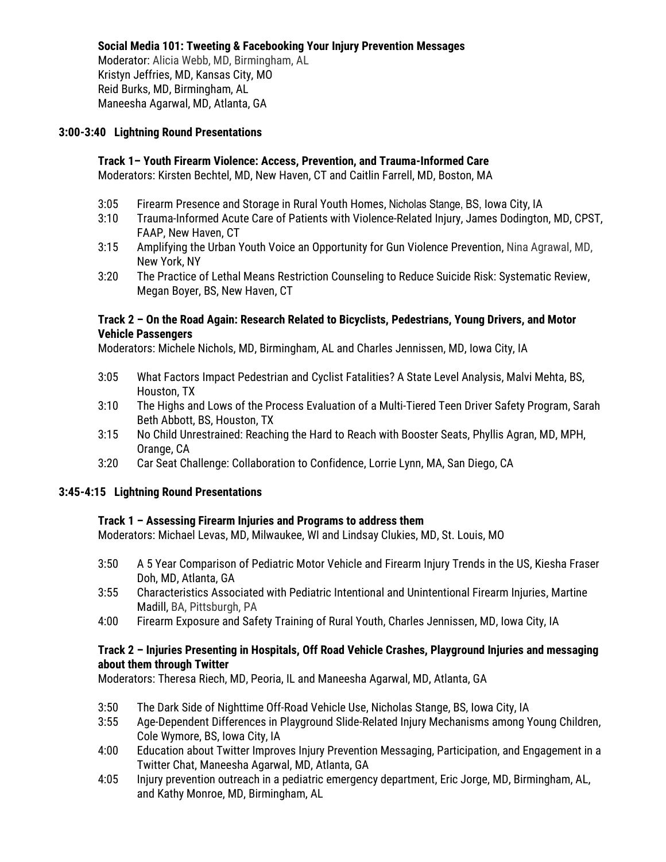### **Social Media 101: Tweeting & Facebooking Your Injury Prevention Messages**

Moderator: Alicia Webb, MD, Birmingham, AL Kristyn Jeffries, MD, Kansas City, MO Reid Burks, MD, Birmingham, AL Maneesha Agarwal, MD, Atlanta, GA

### **3:00-3:40 Lightning Round Presentations**

#### **Track 1– Youth Firearm Violence: Access, Prevention, and Trauma-Informed Care** Moderators: Kirsten Bechtel, MD, New Haven, CT and Caitlin Farrell, MD, Boston, MA

- 3:05 Firearm Presence and Storage in Rural Youth Homes, Nicholas Stange, BS, Iowa City, IA
- 3:10 Trauma-Informed Acute Care of Patients with Violence-Related Injury, James Dodington, MD, CPST, FAAP, New Haven, CT
- 3:15 Amplifying the Urban Youth Voice an Opportunity for Gun Violence Prevention, Nina Agrawal, MD, New York, NY
- 3:20 The Practice of Lethal Means Restriction Counseling to Reduce Suicide Risk: Systematic Review, Megan Boyer, BS, New Haven, CT

### **Track 2 – On the Road Again: Research Related to Bicyclists, Pedestrians, Young Drivers, and Motor Vehicle Passengers**

Moderators: Michele Nichols, MD, Birmingham, AL and Charles Jennissen, MD, Iowa City, IA

- 3:05 What Factors Impact Pedestrian and Cyclist Fatalities? A State Level Analysis, Malvi Mehta, BS, Houston, TX
- 3:10 The Highs and Lows of the Process Evaluation of a Multi-Tiered Teen Driver Safety Program, Sarah Beth Abbott, BS, Houston, TX
- 3:15 No Child Unrestrained: Reaching the Hard to Reach with Booster Seats, Phyllis Agran, MD, MPH, Orange, CA
- 3:20 Car Seat Challenge: Collaboration to Confidence, Lorrie Lynn, MA, San Diego, CA

### **3:45-4:15 Lightning Round Presentations**

### **Track 1 – Assessing Firearm Injuries and Programs to address them**

Moderators: Michael Levas, MD, Milwaukee, WI and Lindsay Clukies, MD, St. Louis, MO

- 3:50 A 5 Year Comparison of Pediatric Motor Vehicle and Firearm Injury Trends in the US, Kiesha Fraser Doh, MD, Atlanta, GA
- 3:55 Characteristics Associated with Pediatric Intentional and Unintentional Firearm Injuries, Martine Madill, BA, Pittsburgh, PA
- 4:00 Firearm Exposure and Safety Training of Rural Youth, Charles Jennissen, MD, Iowa City, IA

### **Track 2 – Injuries Presenting in Hospitals, Off Road Vehicle Crashes, Playground Injuries and messaging about them through Twitter**

Moderators: Theresa Riech, MD, Peoria, IL and Maneesha Agarwal, MD, Atlanta, GA

- 3:50 The Dark Side of Nighttime Off-Road Vehicle Use, Nicholas Stange, BS, Iowa City, IA
- 3:55 Age-Dependent Differences in Playground Slide-Related Injury Mechanisms among Young Children, Cole Wymore, BS, Iowa City, IA
- 4:00 Education about Twitter Improves Injury Prevention Messaging, Participation, and Engagement in a Twitter Chat, Maneesha Agarwal, MD, Atlanta, GA
- 4:05 Injury prevention outreach in a pediatric emergency department, Eric Jorge, MD, Birmingham, AL, and Kathy Monroe, MD, Birmingham, AL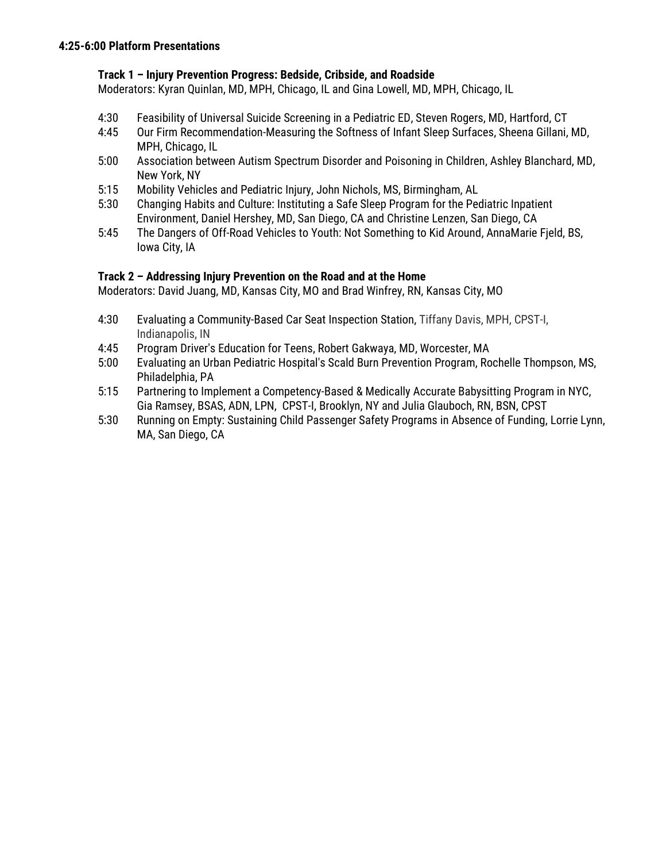## **Track 1 – Injury Prevention Progress: Bedside, Cribside, and Roadside**

Moderators: Kyran Quinlan, MD, MPH, Chicago, IL and Gina Lowell, MD, MPH, Chicago, IL

- 4:30 Feasibility of Universal Suicide Screening in a Pediatric ED, Steven Rogers, MD, Hartford, CT
- 4:45 Our Firm Recommendation-Measuring the Softness of Infant Sleep Surfaces, Sheena Gillani, MD, MPH, Chicago, IL
- 5:00 Association between Autism Spectrum Disorder and Poisoning in Children, Ashley Blanchard, MD, New York, NY
- 5:15 Mobility Vehicles and Pediatric Injury, John Nichols, MS, Birmingham, AL
- 5:30 Changing Habits and Culture: Instituting a Safe Sleep Program for the Pediatric Inpatient Environment, Daniel Hershey, MD, San Diego, CA and Christine Lenzen, San Diego, CA
- 5:45 The Dangers of Off-Road Vehicles to Youth: Not Something to Kid Around, AnnaMarie Fjeld, BS, Iowa City, IA

## **Track 2 – Addressing Injury Prevention on the Road and at the Home**

Moderators: David Juang, MD, Kansas City, MO and Brad Winfrey, RN, Kansas City, MO

- 4:30 Evaluating a Community-Based Car Seat Inspection Station, Tiffany Davis, MPH, CPST-I, Indianapolis, IN
- 4:45 Program Driver's Education for Teens, Robert Gakwaya, MD, Worcester, MA
- 5:00 Evaluating an Urban Pediatric Hospital's Scald Burn Prevention Program, Rochelle Thompson, MS, Philadelphia, PA
- 5:15 Partnering to Implement a Competency-Based & Medically Accurate Babysitting Program in NYC, Gia Ramsey, BSAS, ADN, LPN, CPST-I, Brooklyn, NY and Julia Glauboch, RN, BSN, CPST
- 5:30 Running on Empty: Sustaining Child Passenger Safety Programs in Absence of Funding, Lorrie Lynn, MA, San Diego, CA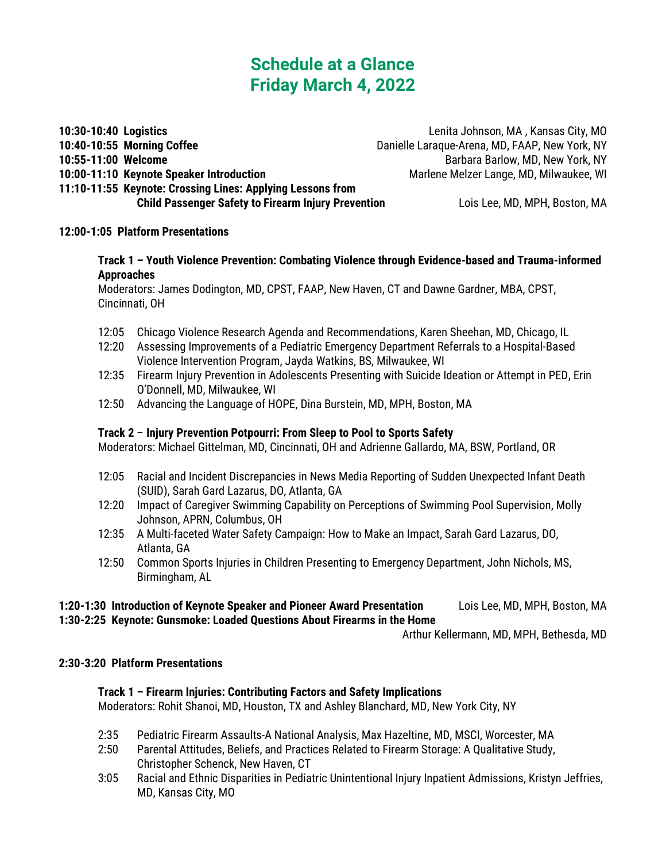## **Schedule at a Glance Friday March 4, 2022**

**10:30-10:40 Logistics** Lenita Johnson, MA , Kansas City, MO **10:40-10:55 Morning Coffee** Danielle Laraque-Arena, MD, FAAP, New York, NY **10:55-11:00 Welcome** Barbara Barlow, MD, New York, NY **10:00-11:10 Keynote Speaker Introduction** Marlene Melzer Lange, MD, Milwaukee, WI

**11:10-11:55 Keynote: Crossing Lines: Applying Lessons from Child Passenger Safety to Firearm Injury Prevention** Lois Lee, MD, MPH, Boston, MA

## **12:00-1:05 Platform Presentations**

## **Track 1 – Youth Violence Prevention: Combating Violence through Evidence-based and Trauma-informed Approaches**

Moderators: James Dodington, MD, CPST, FAAP, New Haven, CT and Dawne Gardner, MBA, CPST, Cincinnati, OH

- 12:05 Chicago Violence Research Agenda and Recommendations, Karen Sheehan, MD, Chicago, IL
- 12:20 Assessing Improvements of a Pediatric Emergency Department Referrals to a Hospital-Based Violence Intervention Program, Jayda Watkins, BS, Milwaukee, WI
- 12:35 Firearm Injury Prevention in Adolescents Presenting with Suicide Ideation or Attempt in PED, Erin O'Donnell, MD, Milwaukee, WI
- 12:50 Advancing the Language of HOPE, Dina Burstein, MD, MPH, Boston, MA

## **Track 2** – **Injury Prevention Potpourri: From Sleep to Pool to Sports Safety**

Moderators: Michael Gittelman, MD, Cincinnati, OH and Adrienne Gallardo, MA, BSW, Portland, OR

- 12:05 Racial and Incident Discrepancies in News Media Reporting of Sudden Unexpected Infant Death (SUID), Sarah Gard Lazarus, DO, Atlanta, GA
- 12:20 Impact of Caregiver Swimming Capability on Perceptions of Swimming Pool Supervision, Molly Johnson, APRN, Columbus, OH
- 12:35 A Multi-faceted Water Safety Campaign: How to Make an Impact, Sarah Gard Lazarus, DO, Atlanta, GA
- 12:50 Common Sports Injuries in Children Presenting to Emergency Department, John Nichols, MS, Birmingham, AL

## **1:20-1:30 Introduction of Keynote Speaker and Pioneer Award Presentation** Lois Lee, MD, MPH, Boston, MA

**1:30-2:25 Keynote: Gunsmoke: Loaded Questions About Firearms in the Home**

Arthur Kellermann, MD, MPH, Bethesda, MD

### **2:30-3:20 Platform Presentations**

## **Track 1 – Firearm Injuries: Contributing Factors and Safety Implications**

Moderators: Rohit Shanoi, MD, Houston, TX and Ashley Blanchard, MD, New York City, NY

- 2:35 Pediatric Firearm Assaults-A National Analysis, Max Hazeltine, MD, MSCI, Worcester, MA
- 2:50 Parental Attitudes, Beliefs, and Practices Related to Firearm Storage: A Qualitative Study, Christopher Schenck, New Haven, CT
- 3:05 Racial and Ethnic Disparities in Pediatric Unintentional Injury Inpatient Admissions, Kristyn Jeffries, MD, Kansas City, MO